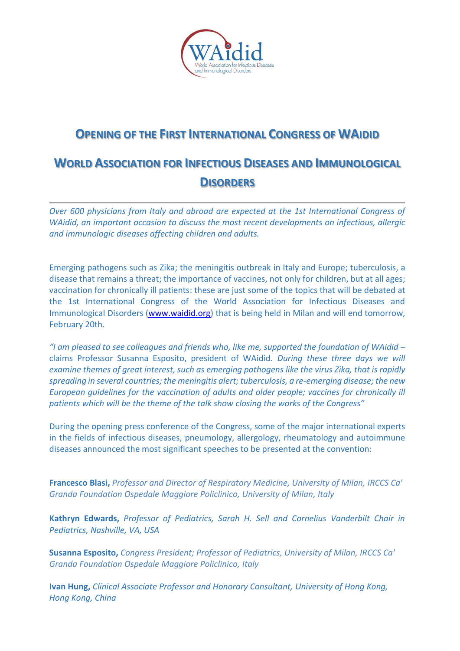

## **OPENING OF THE FIRST INTERNATIONAL CONGRESS OF WAIDID**

## **WORLD ASSOCIATION FOR INFECTIOUS DISEASES AND IMMUNOLOGICAL DISORDERS**

*Over 600 physicians from Italy and abroad are expected at the 1st International Congress of WAidid, an important occasion to discuss the most recent developments on infectious, allergic and immunologic diseases affecting children and adults.* 

Emerging pathogens such as Zika; the meningitis outbreak in Italy and Europe; tuberculosis, a disease that remains a threat; the importance of vaccines, not only for children, but at all ages; vaccination for chronically ill patients: these are just some of the topics that will be debated at the 1st International Congress of the World Association for Infectious Diseases and Immunological Disorders [\(www.waidid.org\)](http://www.waidid.org/) that is being held in Milan and will end tomorrow, February 20th.

*"I am pleased to see colleagues and friends who, like me, supported the foundation of WAidid –* claims Professor Susanna Esposito, president of WAidid*. During these three days we will examine themes of great interest, such as emerging pathogens like the virus Zika, that is rapidly spreading in several countries; the meningitis alert; tuberculosis, a re-emerging disease; the new European guidelines for the vaccination of adults and older people; vaccines for chronically ill patients which will be the theme of the talk show closing the works of the Congress"*

During the opening press conference of the Congress, some of the major international experts in the fields of infectious diseases, pneumology, allergology, rheumatology and autoimmune diseases announced the most significant speeches to be presented at the convention:

**Francesco Blasi,** *Professor and Director of Respiratory Medicine, University of Milan, IRCCS Ca' Granda Foundation Ospedale Maggiore Policlinico, University of Milan, Italy*

**Kathryn Edwards,** *Professor of Pediatrics, Sarah H. Sell and Cornelius Vanderbilt Chair in Pediatrics, Nashville, VA, USA*

**Susanna Esposito,** *Congress President; Professor of Pediatrics, University of Milan, IRCCS Ca' Granda Foundation Ospedale Maggiore Policlinico, Italy*

**Ivan Hung,** *Clinical Associate Professor and Honorary Consultant, University of Hong Kong, Hong Kong, China*